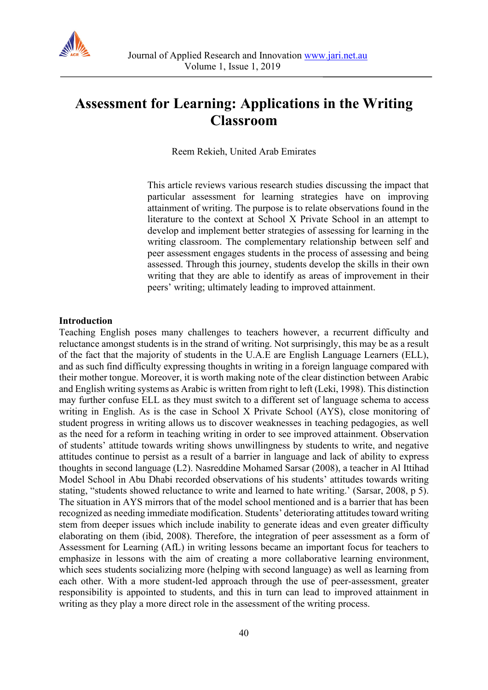

# **Assessment for Learning: Applications in the Writing Classroom**

Reem Rekieh, United Arab Emirates

This article reviews various research studies discussing the impact that particular assessment for learning strategies have on improving attainment of writing. The purpose is to relate observations found in the literature to the context at School X Private School in an attempt to develop and implement better strategies of assessing for learning in the writing classroom. The complementary relationship between self and peer assessment engages students in the process of assessing and being assessed. Through this journey, students develop the skills in their own writing that they are able to identify as areas of improvement in their peers' writing; ultimately leading to improved attainment.

#### **Introduction**

Teaching English poses many challenges to teachers however, a recurrent difficulty and reluctance amongst students is in the strand of writing. Not surprisingly, this may be as a result of the fact that the majority of students in the U.A.E are English Language Learners (ELL), and as such find difficulty expressing thoughts in writing in a foreign language compared with their mother tongue. Moreover, it is worth making note of the clear distinction between Arabic and English writing systems as Arabic is written from right to left (Leki, 1998). This distinction may further confuse ELL as they must switch to a different set of language schema to access writing in English. As is the case in School X Private School (AYS), close monitoring of student progress in writing allows us to discover weaknesses in teaching pedagogies, as well as the need for a reform in teaching writing in order to see improved attainment. Observation of students' attitude towards writing shows unwillingness by students to write, and negative attitudes continue to persist as a result of a barrier in language and lack of ability to express thoughts in second language (L2). Nasreddine Mohamed Sarsar (2008), a teacher in Al Ittihad Model School in Abu Dhabi recorded observations of his students' attitudes towards writing stating, "students showed reluctance to write and learned to hate writing.' (Sarsar, 2008, p 5). The situation in AYS mirrors that of the model school mentioned and is a barrier that has been recognized as needing immediate modification. Students' deteriorating attitudes toward writing stem from deeper issues which include inability to generate ideas and even greater difficulty elaborating on them (ibid, 2008). Therefore, the integration of peer assessment as a form of Assessment for Learning (AfL) in writing lessons became an important focus for teachers to emphasize in lessons with the aim of creating a more collaborative learning environment, which sees students socializing more (helping with second language) as well as learning from each other. With a more student-led approach through the use of peer-assessment, greater responsibility is appointed to students, and this in turn can lead to improved attainment in writing as they play a more direct role in the assessment of the writing process.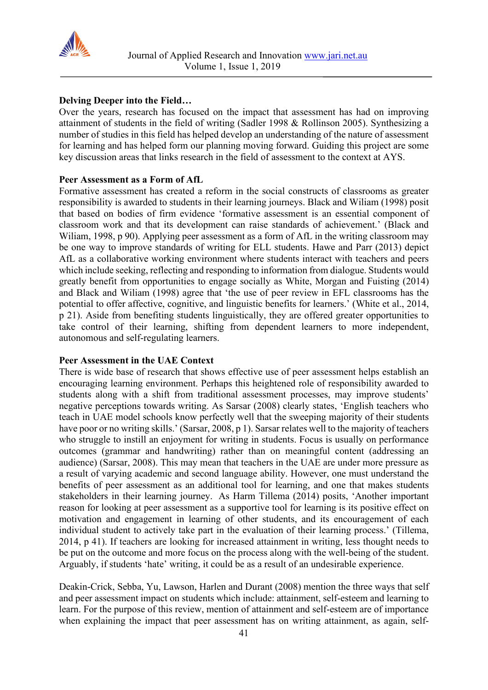

# **Delving Deeper into the Field…**

Over the years, research has focused on the impact that assessment has had on improving attainment of students in the field of writing (Sadler 1998 & Rollinson 2005). Synthesizing a number of studies in this field has helped develop an understanding of the nature of assessment for learning and has helped form our planning moving forward. Guiding this project are some key discussion areas that links research in the field of assessment to the context at AYS.

# **Peer Assessment as a Form of AfL**

Formative assessment has created a reform in the social constructs of classrooms as greater responsibility is awarded to students in their learning journeys. Black and Wiliam (1998) posit that based on bodies of firm evidence 'formative assessment is an essential component of classroom work and that its development can raise standards of achievement.' (Black and Wiliam, 1998, p 90). Applying peer assessment as a form of AfL in the writing classroom may be one way to improve standards of writing for ELL students. Hawe and Parr (2013) depict AfL as a collaborative working environment where students interact with teachers and peers which include seeking, reflecting and responding to information from dialogue. Students would greatly benefit from opportunities to engage socially as White, Morgan and Fuisting (2014) and Black and Wiliam (1998) agree that 'the use of peer review in EFL classrooms has the potential to offer affective, cognitive, and linguistic benefits for learners.' (White et al., 2014, p 21). Aside from benefiting students linguistically, they are offered greater opportunities to take control of their learning, shifting from dependent learners to more independent, autonomous and self-regulating learners.

# **Peer Assessment in the UAE Context**

There is wide base of research that shows effective use of peer assessment helps establish an encouraging learning environment. Perhaps this heightened role of responsibility awarded to students along with a shift from traditional assessment processes, may improve students' negative perceptions towards writing. As Sarsar (2008) clearly states, 'English teachers who teach in UAE model schools know perfectly well that the sweeping majority of their students have poor or no writing skills.' (Sarsar, 2008, p 1). Sarsar relates well to the majority of teachers who struggle to instill an enjoyment for writing in students. Focus is usually on performance outcomes (grammar and handwriting) rather than on meaningful content (addressing an audience) (Sarsar, 2008). This may mean that teachers in the UAE are under more pressure as a result of varying academic and second language ability. However, one must understand the benefits of peer assessment as an additional tool for learning, and one that makes students stakeholders in their learning journey. As Harm Tillema (2014) posits, 'Another important reason for looking at peer assessment as a supportive tool for learning is its positive effect on motivation and engagement in learning of other students, and its encouragement of each individual student to actively take part in the evaluation of their learning process.' (Tillema, 2014, p 41). If teachers are looking for increased attainment in writing, less thought needs to be put on the outcome and more focus on the process along with the well-being of the student. Arguably, if students 'hate' writing, it could be as a result of an undesirable experience.

Deakin-Crick, Sebba, Yu, Lawson, Harlen and Durant (2008) mention the three ways that self and peer assessment impact on students which include: attainment, self-esteem and learning to learn. For the purpose of this review, mention of attainment and self-esteem are of importance when explaining the impact that peer assessment has on writing attainment, as again, self-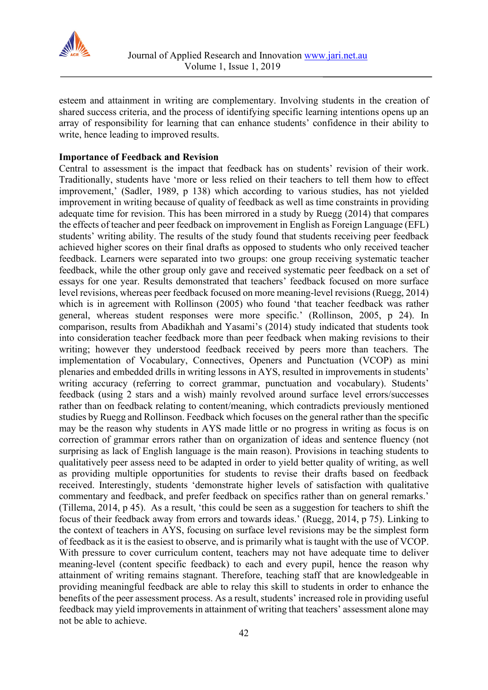

esteem and attainment in writing are complementary. Involving students in the creation of shared success criteria, and the process of identifying specific learning intentions opens up an array of responsibility for learning that can enhance students' confidence in their ability to write, hence leading to improved results.

## **Importance of Feedback and Revision**

Central to assessment is the impact that feedback has on students' revision of their work. Traditionally, students have 'more or less relied on their teachers to tell them how to effect improvement,' (Sadler, 1989, p 138) which according to various studies, has not yielded improvement in writing because of quality of feedback as well as time constraints in providing adequate time for revision. This has been mirrored in a study by Ruegg (2014) that compares the effects of teacher and peer feedback on improvement in English as Foreign Language (EFL) students' writing ability. The results of the study found that students receiving peer feedback achieved higher scores on their final drafts as opposed to students who only received teacher feedback. Learners were separated into two groups: one group receiving systematic teacher feedback, while the other group only gave and received systematic peer feedback on a set of essays for one year. Results demonstrated that teachers' feedback focused on more surface level revisions, whereas peer feedback focused on more meaning-level revisions (Ruegg, 2014) which is in agreement with Rollinson (2005) who found 'that teacher feedback was rather general, whereas student responses were more specific.' (Rollinson, 2005, p 24). In comparison, results from Abadikhah and Yasami's (2014) study indicated that students took into consideration teacher feedback more than peer feedback when making revisions to their writing; however they understood feedback received by peers more than teachers. The implementation of Vocabulary, Connectives, Openers and Punctuation (VCOP) as mini plenaries and embedded drills in writing lessons in AYS, resulted in improvements in students' writing accuracy (referring to correct grammar, punctuation and vocabulary). Students' feedback (using 2 stars and a wish) mainly revolved around surface level errors/successes rather than on feedback relating to content/meaning, which contradicts previously mentioned studies by Ruegg and Rollinson. Feedback which focuses on the general rather than the specific may be the reason why students in AYS made little or no progress in writing as focus is on correction of grammar errors rather than on organization of ideas and sentence fluency (not surprising as lack of English language is the main reason). Provisions in teaching students to qualitatively peer assess need to be adapted in order to yield better quality of writing, as well as providing multiple opportunities for students to revise their drafts based on feedback received. Interestingly, students 'demonstrate higher levels of satisfaction with qualitative commentary and feedback, and prefer feedback on specifics rather than on general remarks.' (Tillema, 2014, p 45). As a result, 'this could be seen as a suggestion for teachers to shift the focus of their feedback away from errors and towards ideas.' (Ruegg, 2014, p 75). Linking to the context of teachers in AYS, focusing on surface level revisions may be the simplest form of feedback as it is the easiest to observe, and is primarily what is taught with the use of VCOP. With pressure to cover curriculum content, teachers may not have adequate time to deliver meaning-level (content specific feedback) to each and every pupil, hence the reason why attainment of writing remains stagnant. Therefore, teaching staff that are knowledgeable in providing meaningful feedback are able to relay this skill to students in order to enhance the benefits of the peer assessment process. As a result, students' increased role in providing useful feedback may yield improvements in attainment of writing that teachers' assessment alone may not be able to achieve.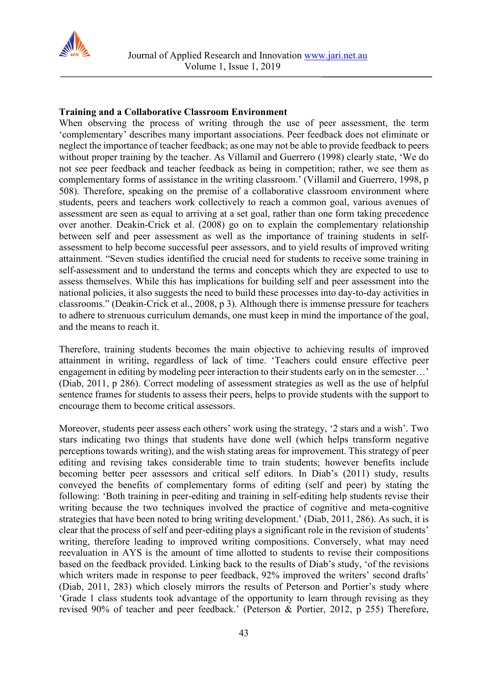

## **Training and a Collaborative Classroom Environment**

When observing the process of writing through the use of peer assessment, the term 'complementary' describes many important associations. Peer feedback does not eliminate or neglect the importance of teacher feedback; as one may not be able to provide feedback to peers without proper training by the teacher. As Villamil and Guerrero (1998) clearly state, 'We do not see peer feedback and teacher feedback as being in competition; rather, we see them as complementary forms of assistance in the writing classroom.' (Villamil and Guerrero, 1998, p 508). Therefore, speaking on the premise of a collaborative classroom environment where students, peers and teachers work collectively to reach a common goal, various avenues of assessment are seen as equal to arriving at a set goal, rather than one form taking precedence over another. Deakin-Crick et al. (2008) go on to explain the complementary relationship between self and peer assessment as well as the importance of training students in selfassessment to help become successful peer assessors, and to yield results of improved writing attainment. "Seven studies identified the crucial need for students to receive some training in self-assessment and to understand the terms and concepts which they are expected to use to assess themselves. While this has implications for building self and peer assessment into the national policies, it also suggests the need to build these processes into day-to-day activities in classrooms." (Deakin-Crick et al., 2008, p 3). Although there is immense pressure for teachers to adhere to strenuous curriculum demands, one must keep in mind the importance of the goal, and the means to reach it.

Therefore, training students becomes the main objective to achieving results of improved attainment in writing, regardless of lack of time. 'Teachers could ensure effective peer engagement in editing by modeling peer interaction to their students early on in the semester…' (Diab, 2011, p 286). Correct modeling of assessment strategies as well as the use of helpful sentence frames for students to assess their peers, helps to provide students with the support to encourage them to become critical assessors.

Moreover, students peer assess each others' work using the strategy, '2 stars and a wish'. Two stars indicating two things that students have done well (which helps transform negative perceptions towards writing), and the wish stating areas for improvement. This strategy of peer editing and revising takes considerable time to train students; however benefits include becoming better peer assessors and critical self editors. In Diab's (2011) study, results conveyed the benefits of complementary forms of editing (self and peer) by stating the following: 'Both training in peer-editing and training in self-editing help students revise their writing because the two techniques involved the practice of cognitive and meta-cognitive strategies that have been noted to bring writing development.' (Diab, 2011, 286). As such, it is clear that the process of self and peer-editing plays a significant role in the revision of students' writing, therefore leading to improved writing compositions. Conversely, what may need reevaluation in AYS is the amount of time allotted to students to revise their compositions based on the feedback provided. Linking back to the results of Diab's study, 'of the revisions which writers made in response to peer feedback, 92% improved the writers' second drafts' (Diab, 2011, 283) which closely mirrors the results of Peterson and Portier's study where 'Grade 1 class students took advantage of the opportunity to learn through revising as they revised 90% of teacher and peer feedback.' (Peterson & Portier, 2012, p 255) Therefore,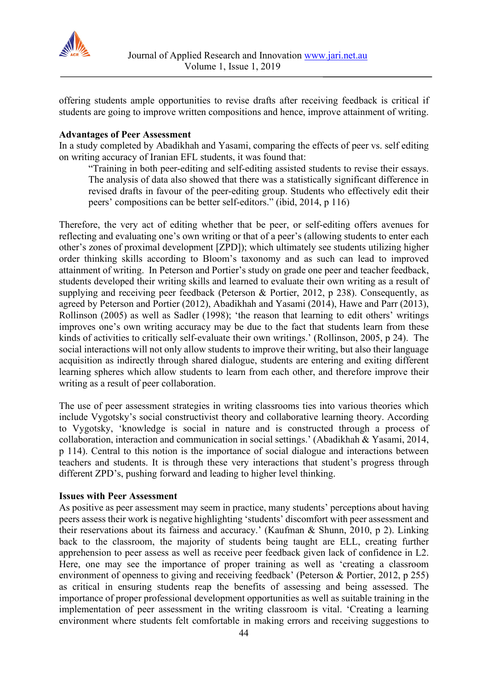

offering students ample opportunities to revise drafts after receiving feedback is critical if students are going to improve written compositions and hence, improve attainment of writing.

#### **Advantages of Peer Assessment**

In a study completed by Abadikhah and Yasami, comparing the effects of peer vs. self editing on writing accuracy of Iranian EFL students, it was found that:

"Training in both peer-editing and self-editing assisted students to revise their essays. The analysis of data also showed that there was a statistically significant difference in revised drafts in favour of the peer-editing group. Students who effectively edit their peers' compositions can be better self-editors." (ibid, 2014, p 116)

Therefore, the very act of editing whether that be peer, or self-editing offers avenues for reflecting and evaluating one's own writing or that of a peer's (allowing students to enter each other's zones of proximal development [ZPD]); which ultimately see students utilizing higher order thinking skills according to Bloom's taxonomy and as such can lead to improved attainment of writing. In Peterson and Portier's study on grade one peer and teacher feedback, students developed their writing skills and learned to evaluate their own writing as a result of supplying and receiving peer feedback (Peterson & Portier, 2012, p 238). Consequently, as agreed by Peterson and Portier (2012), Abadikhah and Yasami (2014), Hawe and Parr (2013), Rollinson (2005) as well as Sadler (1998); 'the reason that learning to edit others' writings improves one's own writing accuracy may be due to the fact that students learn from these kinds of activities to critically self-evaluate their own writings.' (Rollinson, 2005, p 24). The social interactions will not only allow students to improve their writing, but also their language acquisition as indirectly through shared dialogue, students are entering and exiting different learning spheres which allow students to learn from each other, and therefore improve their writing as a result of peer collaboration.

The use of peer assessment strategies in writing classrooms ties into various theories which include Vygotsky's social constructivist theory and collaborative learning theory. According to Vygotsky, 'knowledge is social in nature and is constructed through a process of collaboration, interaction and communication in social settings.' (Abadikhah & Yasami, 2014, p 114). Central to this notion is the importance of social dialogue and interactions between teachers and students. It is through these very interactions that student's progress through different ZPD's, pushing forward and leading to higher level thinking.

#### **Issues with Peer Assessment**

As positive as peer assessment may seem in practice, many students' perceptions about having peers assess their work is negative highlighting 'students' discomfort with peer assessment and their reservations about its fairness and accuracy.' (Kaufman & Shunn, 2010, p 2). Linking back to the classroom, the majority of students being taught are ELL, creating further apprehension to peer assess as well as receive peer feedback given lack of confidence in L2. Here, one may see the importance of proper training as well as 'creating a classroom environment of openness to giving and receiving feedback' (Peterson & Portier, 2012, p 255) as critical in ensuring students reap the benefits of assessing and being assessed. The importance of proper professional development opportunities as well as suitable training in the implementation of peer assessment in the writing classroom is vital. 'Creating a learning environment where students felt comfortable in making errors and receiving suggestions to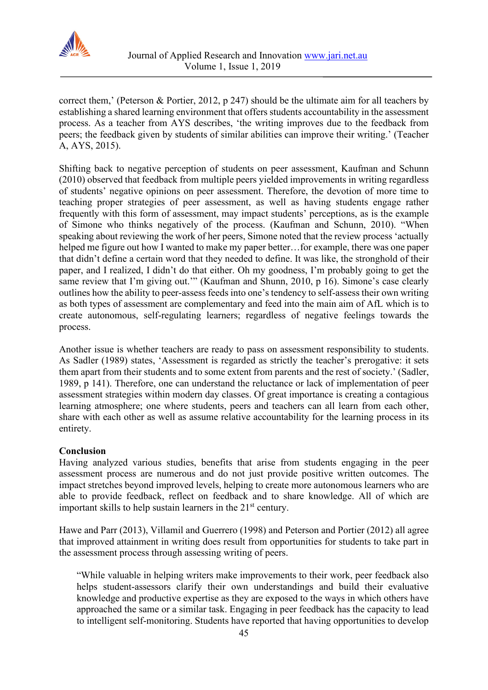

correct them,' (Peterson & Portier, 2012, p 247) should be the ultimate aim for all teachers by establishing a shared learning environment that offers students accountability in the assessment process. As a teacher from AYS describes, 'the writing improves due to the feedback from peers; the feedback given by students of similar abilities can improve their writing.' (Teacher A, AYS, 2015).

Shifting back to negative perception of students on peer assessment, Kaufman and Schunn (2010) observed that feedback from multiple peers yielded improvements in writing regardless of students' negative opinions on peer assessment. Therefore, the devotion of more time to teaching proper strategies of peer assessment, as well as having students engage rather frequently with this form of assessment, may impact students' perceptions, as is the example of Simone who thinks negatively of the process. (Kaufman and Schunn, 2010). "When speaking about reviewing the work of her peers, Simone noted that the review process 'actually helped me figure out how I wanted to make my paper better…for example, there was one paper that didn't define a certain word that they needed to define. It was like, the stronghold of their paper, and I realized, I didn't do that either. Oh my goodness, I'm probably going to get the same review that I'm giving out.'" (Kaufman and Shunn, 2010, p 16). Simone's case clearly outlines how the ability to peer-assess feeds into one's tendency to self-assess their own writing as both types of assessment are complementary and feed into the main aim of AfL which is to create autonomous, self-regulating learners; regardless of negative feelings towards the process.

Another issue is whether teachers are ready to pass on assessment responsibility to students. As Sadler (1989) states, 'Assessment is regarded as strictly the teacher's prerogative: it sets them apart from their students and to some extent from parents and the rest of society.' (Sadler, 1989, p 141). Therefore, one can understand the reluctance or lack of implementation of peer assessment strategies within modern day classes. Of great importance is creating a contagious learning atmosphere; one where students, peers and teachers can all learn from each other, share with each other as well as assume relative accountability for the learning process in its entirety.

#### **Conclusion**

Having analyzed various studies, benefits that arise from students engaging in the peer assessment process are numerous and do not just provide positive written outcomes. The impact stretches beyond improved levels, helping to create more autonomous learners who are able to provide feedback, reflect on feedback and to share knowledge. All of which are important skills to help sustain learners in the 21<sup>st</sup> century.

Hawe and Parr (2013), Villamil and Guerrero (1998) and Peterson and Portier (2012) all agree that improved attainment in writing does result from opportunities for students to take part in the assessment process through assessing writing of peers.

"While valuable in helping writers make improvements to their work, peer feedback also helps student-assessors clarify their own understandings and build their evaluative knowledge and productive expertise as they are exposed to the ways in which others have approached the same or a similar task. Engaging in peer feedback has the capacity to lead to intelligent self-monitoring. Students have reported that having opportunities to develop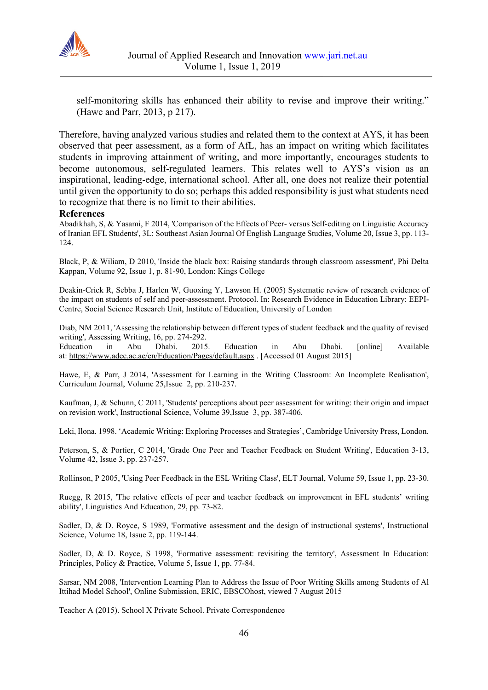

self-monitoring skills has enhanced their ability to revise and improve their writing." (Hawe and Parr, 2013, p 217).

Therefore, having analyzed various studies and related them to the context at AYS, it has been observed that peer assessment, as a form of AfL, has an impact on writing which facilitates students in improving attainment of writing, and more importantly, encourages students to become autonomous, self-regulated learners. This relates well to AYS's vision as an inspirational, leading-edge, international school. After all, one does not realize their potential until given the opportunity to do so; perhaps this added responsibility is just what students need to recognize that there is no limit to their abilities.

#### **References**

Abadikhah, S, & Yasami, F 2014, 'Comparison of the Effects of Peer- versus Self-editing on Linguistic Accuracy of Iranian EFL Students', 3L: Southeast Asian Journal Of English Language Studies, Volume 20, Issue 3, pp. 113- 124.

Black, P, & Wiliam, D 2010, 'Inside the black box: Raising standards through classroom assessment', Phi Delta Kappan, Volume 92, Issue 1, p. 81-90, London: Kings College

Deakin-Crick R, Sebba J, Harlen W, Guoxing Y, Lawson H. (2005) Systematic review of research evidence of the impact on students of self and peer-assessment. Protocol. In: Research Evidence in Education Library: EEPI-Centre, Social Science Research Unit, Institute of Education, University of London

Diab, NM 2011, 'Assessing the relationship between different types of student feedback and the quality of revised writing', Assessing Writing, 16, pp. 274-292.

Education in Abu Dhabi. 2015. Education in Abu Dhabi. [online] Available at: <https://www.adec.ac.ae/en/Education/Pages/default.aspx> . [Accessed 01 August 2015]

Hawe, E, & Parr, J 2014, 'Assessment for Learning in the Writing Classroom: An Incomplete Realisation', Curriculum Journal, Volume 25,Issue 2, pp. 210-237.

Kaufman, J, & Schunn, C 2011, 'Students' perceptions about peer assessment for writing: their origin and impact on revision work', Instructional Science, Volume 39,Issue 3, pp. 387-406.

Leki, Ilona. 1998. 'Academic Writing: Exploring Processes and Strategies', Cambridge University Press, London.

Peterson, S, & Portier, C 2014, 'Grade One Peer and Teacher Feedback on Student Writing', Education 3-13, Volume 42, Issue 3, pp. 237-257.

Rollinson, P 2005, 'Using Peer Feedback in the ESL Writing Class', ELT Journal, Volume 59, Issue 1, pp. 23-30.

Ruegg, R 2015, 'The relative effects of peer and teacher feedback on improvement in EFL students' writing ability', Linguistics And Education, 29, pp. 73-82.

Sadler, D, & D. Royce, S 1989, 'Formative assessment and the design of instructional systems', Instructional Science, Volume 18, Issue 2, pp. 119-144.

Sadler, D, & D. Royce, S 1998, 'Formative assessment: revisiting the territory', Assessment In Education: Principles, Policy & Practice, Volume 5, Issue 1, pp. 77-84.

Sarsar, NM 2008, 'Intervention Learning Plan to Address the Issue of Poor Writing Skills among Students of Al Ittihad Model School', Online Submission, ERIC, EBSCOhost, viewed 7 August 2015

Teacher A (2015). School X Private School. Private Correspondence